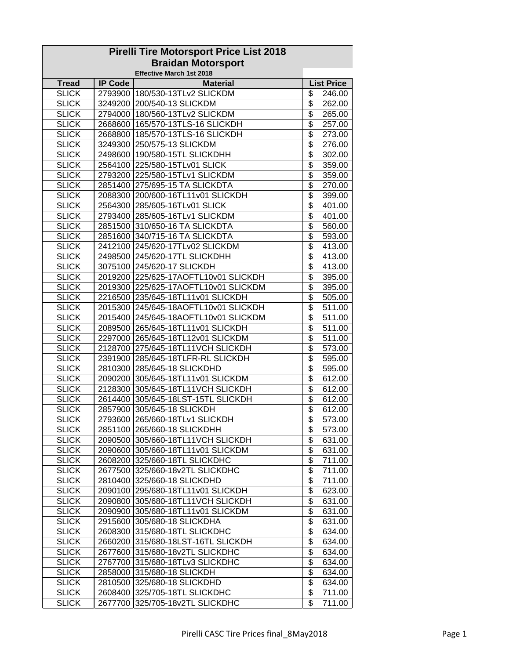| <b>Pirelli Tire Motorsport Price List 2018</b> |                |                                      |                           |  |  |  |
|------------------------------------------------|----------------|--------------------------------------|---------------------------|--|--|--|
| <b>Braidan Motorsport</b>                      |                |                                      |                           |  |  |  |
|                                                |                | <b>Effective March 1st 2018</b>      |                           |  |  |  |
| <b>Tread</b>                                   | <b>IP Code</b> | <b>Material</b>                      | <b>List Price</b>         |  |  |  |
| <b>SLICK</b>                                   |                | 2793900 180/530-13TLv2 SLICKDM       | \$<br>246.00              |  |  |  |
| <b>SLICK</b>                                   |                | 3249200 200/540-13 SLICKDM           | \$<br>262.00              |  |  |  |
| <b>SLICK</b>                                   |                | 2794000 180/560-13TLv2 SLICKDM       | \$<br>265.00              |  |  |  |
| <b>SLICK</b>                                   |                | 2668600 165/570-13TLS-16 SLICKDH     | \$<br>257.00              |  |  |  |
| <b>SLICK</b>                                   |                | 2668800 185/570-13TLS-16 SLICKDH     | \$<br>273.00              |  |  |  |
| <b>SLICK</b>                                   |                | 3249300 250/575-13 SLICKDM           | \$<br>276.00              |  |  |  |
| <b>SLICK</b>                                   |                | 2498600 190/580-15TL SLICKDHH        | $\overline{\$}$<br>302.00 |  |  |  |
| <b>SLICK</b>                                   |                | 2564100 225/580-15TLv01 SLICK        | \$<br>359.00              |  |  |  |
| <b>SLICK</b>                                   |                | 2793200 225/580-15TLv1 SLICKDM       | \$<br>359.00              |  |  |  |
| <b>SLICK</b>                                   |                | 2851400 275/695-15 TA SLICKDTA       | \$<br>270.00              |  |  |  |
| <b>SLICK</b>                                   |                | 2088300 200/600-16TL11v01 SLICKDH    | \$<br>399.00              |  |  |  |
| <b>SLICK</b>                                   |                | 2564300 285/605-16TLv01 SLICK        | \$<br>401.00              |  |  |  |
| <b>SLICK</b>                                   |                | 2793400 285/605-16TLv1 SLICKDM       | \$<br>401.00              |  |  |  |
| <b>SLICK</b>                                   |                | 2851500 310/650-16 TA SLICKDTA       | \$<br>560.00              |  |  |  |
| <b>SLICK</b>                                   |                | 2851600 340/715-16 TA SLICKDTA       | \$<br>593.00              |  |  |  |
| <b>SLICK</b>                                   |                | 2412100 245/620-17TLv02 SLICKDM      | \$<br>413.00              |  |  |  |
| <b>SLICK</b>                                   |                | 2498500 245/620-17TL SLICKDHH        | \$<br>413.00              |  |  |  |
| <b>SLICK</b>                                   |                | 3075100 245/620-17 SLICKDH           | $\overline{\$}$<br>413.00 |  |  |  |
| <b>SLICK</b>                                   |                | 2019200 225/625-17AOFTL10v01 SLICKDH | \$<br>395.00              |  |  |  |
| <b>SLICK</b>                                   |                | 2019300 225/625-17AOFTL10v01 SLICKDM | \$<br>395.00              |  |  |  |
| <b>SLICK</b>                                   |                | 2216500 235/645-18TL11v01 SLICKDH    | $\overline{\$}$<br>505.00 |  |  |  |
| <b>SLICK</b>                                   |                | 2015300 245/645-18AOFTL10v01 SLICKDH | \$<br>511.00              |  |  |  |
| <b>SLICK</b>                                   |                | 2015400 245/645-18AOFTL10v01 SLICKDM | \$<br>511.00              |  |  |  |
| <b>SLICK</b>                                   |                | 2089500 265/645-18TL11v01 SLICKDH    | $\overline{\$}$<br>511.00 |  |  |  |
| <b>SLICK</b>                                   |                | 2297000 265/645-18TL12v01 SLICKDM    | \$<br>511.00              |  |  |  |
| <b>SLICK</b>                                   |                | 2128700 275/645-18TL11VCH SLICKDH    | \$<br>573.00              |  |  |  |
| <b>SLICK</b>                                   |                | 2391900 285/645-18TLFR-RL SLICKDH    | \$<br>595.00              |  |  |  |
| <b>SLICK</b>                                   |                | 2810300 285/645-18 SLICKDHD          | \$<br>595.00              |  |  |  |
| <b>SLICK</b>                                   |                | 2090200 305/645-18TL11v01 SLICKDM    | \$<br>612.00              |  |  |  |
| <b>SLICK</b>                                   |                | 2128300 305/645-18TL11VCH SLICKDH    | \$<br>612.00              |  |  |  |
| <b>SLICK</b>                                   |                | 2614400 305/645-18LST-15TL SLICKDH   | \$<br>612.00              |  |  |  |
| <b>SLICK</b>                                   |                | 2857900 305/645-18 SLICKDH           | \$<br>612.00              |  |  |  |
| <b>SLICK</b>                                   |                | 2793600 265/660-18TLv1 SLICKDH       | \$<br>573.00              |  |  |  |
| <b>SLICK</b>                                   |                | 2851100 265/660-18 SLICKDHH          | \$<br>573.00              |  |  |  |
| <b>SLICK</b>                                   |                | 2090500 305/660-18TL11VCH SLICKDH    | \$<br>631.00              |  |  |  |
| <b>SLICK</b>                                   |                | 2090600 305/660-18TL11v01 SLICKDM    | \$<br>631.00              |  |  |  |
| <b>SLICK</b>                                   |                | 2608200 325/660-18TL SLICKDHC        | \$<br>711.00              |  |  |  |
| <b>SLICK</b>                                   |                | 2677500 325/660-18v2TL SLICKDHC      | \$<br>711.00              |  |  |  |
| <b>SLICK</b>                                   |                | 2810400 325/660-18 SLICKDHD          | \$<br>711.00              |  |  |  |
| <b>SLICK</b>                                   |                | 2090100 295/680-18TL11v01 SLICKDH    | \$<br>623.00              |  |  |  |
| <b>SLICK</b>                                   |                | 2090800 305/680-18TL11VCH SLICKDH    | \$<br>631.00              |  |  |  |
| <b>SLICK</b>                                   |                | 2090900 305/680-18TL11v01 SLICKDM    | \$<br>631.00              |  |  |  |
| <b>SLICK</b>                                   |                | 2915600 305/680-18 SLICKDHA          | \$<br>631.00              |  |  |  |
| <b>SLICK</b>                                   |                | 2608300 315/680-18TL SLICKDHC        | $\overline{\$}$<br>634.00 |  |  |  |
| <b>SLICK</b>                                   |                | 2660200 315/680-18LST-16TL SLICKDH   | \$<br>634.00              |  |  |  |
| <b>SLICK</b>                                   |                | 2677600 315/680-18v2TL SLICKDHC      | \$<br>634.00              |  |  |  |
| <b>SLICK</b>                                   |                | 2767700 315/680-18TLv3 SLICKDHC      | \$<br>634.00              |  |  |  |
| <b>SLICK</b>                                   |                | 2858000 315/680-18 SLICKDH           | \$<br>634.00              |  |  |  |
| <b>SLICK</b>                                   |                | 2810500 325/680-18 SLICKDHD          | \$<br>634.00              |  |  |  |
| <b>SLICK</b>                                   |                | 2608400 325/705-18TL SLICKDHC        | \$<br>711.00              |  |  |  |
| <b>SLICK</b>                                   | 2677700        | 325/705-18v2TL SLICKDHC              | \$<br>711.00              |  |  |  |
|                                                |                |                                      |                           |  |  |  |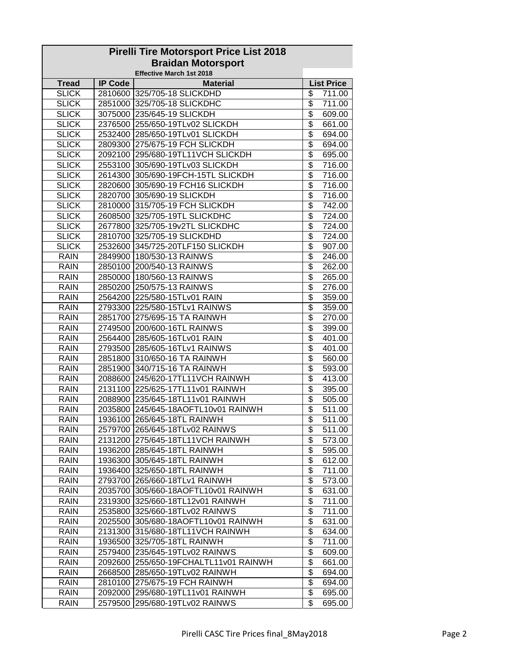| <b>Pirelli Tire Motorsport Price List 2018</b> |                |                                       |                           |  |  |  |
|------------------------------------------------|----------------|---------------------------------------|---------------------------|--|--|--|
| <b>Braidan Motorsport</b>                      |                |                                       |                           |  |  |  |
|                                                |                | <b>Effective March 1st 2018</b>       |                           |  |  |  |
| <b>Tread</b>                                   | <b>IP Code</b> | <b>Material</b>                       | <b>List Price</b>         |  |  |  |
| <b>SLICK</b>                                   |                | 2810600 325/705-18 SLICKDHD           | \$<br>711.00              |  |  |  |
| <b>SLICK</b>                                   |                | 2851000 325/705-18 SLICKDHC           | \$<br>711.00              |  |  |  |
| <b>SLICK</b>                                   |                | 3075000 235/645-19 SLICKDH            | \$<br>609.00              |  |  |  |
| <b>SLICK</b>                                   |                | 2376500 255/650-19TLv02 SLICKDH       | \$<br>661.00              |  |  |  |
| <b>SLICK</b>                                   |                | 2532400 285/650-19TLv01 SLICKDH       | \$<br>694.00              |  |  |  |
| <b>SLICK</b>                                   |                | 2809300 275/675-19 FCH SLICKDH        | \$<br>694.00              |  |  |  |
| <b>SLICK</b>                                   |                | 2092100 295/680-19TL11VCH SLICKDH     | \$<br>695.00              |  |  |  |
| <b>SLICK</b>                                   |                | 2553100 305/690-19TLv03 SLICKDH       | \$<br>716.00              |  |  |  |
| <b>SLICK</b>                                   |                | 2614300 305/690-19FCH-15TL SLICKDH    | \$<br>716.00              |  |  |  |
| <b>SLICK</b>                                   |                | 2820600 305/690-19 FCH16 SLICKDH      | \$<br>716.00              |  |  |  |
| <b>SLICK</b>                                   |                | 2820700 305/690-19 SLICKDH            | \$<br>716.00              |  |  |  |
| <b>SLICK</b>                                   |                | 2810000 315/705-19 FCH SLICKDH        | \$<br>742.00              |  |  |  |
| <b>SLICK</b>                                   |                | 2608500 325/705-19TL SLICKDHC         | \$<br>724.00              |  |  |  |
| <b>SLICK</b>                                   |                | 2677800 325/705-19v2TL SLICKDHC       | \$<br>724.00              |  |  |  |
| <b>SLICK</b>                                   |                | 2810700 325/705-19 SLICKDHD           | \$<br>724.00              |  |  |  |
| <b>SLICK</b>                                   |                | 2532600 345/725-20TLF150 SLICKDH      | \$<br>907.00              |  |  |  |
| <b>RAIN</b>                                    |                | 2849900 180/530-13 RAINWS             | \$<br>246.00              |  |  |  |
| <b>RAIN</b>                                    |                | 2850100 200/540-13 RAINWS             | $\overline{\$}$<br>262.00 |  |  |  |
| <b>RAIN</b>                                    |                | 2850000 180/560-13 RAINWS             | \$<br>265.00              |  |  |  |
| <b>RAIN</b>                                    |                | 2850200 250/575-13 RAINWS             | \$<br>276.00              |  |  |  |
| <b>RAIN</b>                                    |                | 2564200 225/580-15TLv01 RAIN          | $\overline{\$}$<br>359.00 |  |  |  |
| <b>RAIN</b>                                    |                | 2793300 225/580-15TLv1 RAINWS         | \$<br>359.00              |  |  |  |
| <b>RAIN</b>                                    |                | 2851700 275/695-15 TA RAINWH          | \$<br>270.00              |  |  |  |
| <b>RAIN</b>                                    |                | 2749500 200/600-16TL RAINWS           | \$<br>399.00              |  |  |  |
| <b>RAIN</b>                                    |                | 2564400 285/605-16TLv01 RAIN          | \$<br>401.00              |  |  |  |
| <b>RAIN</b>                                    |                | 2793500 285/605-16TLv1 RAINWS         | \$<br>401.00              |  |  |  |
| <b>RAIN</b>                                    |                | 2851800 310/650-16 TA RAINWH          | \$<br>560.00              |  |  |  |
| <b>RAIN</b>                                    |                | 2851900 340/715-16 TA RAINWH          | \$<br>593.00              |  |  |  |
| <b>RAIN</b>                                    |                | 2088600 245/620-17TL11VCH RAINWH      | \$<br>413.00              |  |  |  |
| <b>RAIN</b>                                    |                | 2131100 225/625-17TL11v01 RAINWH      | \$<br>395.00              |  |  |  |
| <b>RAIN</b>                                    |                | 2088900 235/645-18TL11v01 RAINWH      | \$<br>505.00              |  |  |  |
| <b>RAIN</b>                                    |                | 2035800 245/645-18AOFTL10v01 RAINWH   | \$<br>$\overline{5}11.00$ |  |  |  |
| <b>RAIN</b>                                    |                | 1936100 265/645-18TL RAINWH           | \$<br>511.00              |  |  |  |
| <b>RAIN</b>                                    |                | 2579700 265/645-18TLv02 RAINWS        | \$<br>511.00              |  |  |  |
| <b>RAIN</b>                                    |                | 2131200 275/645-18TL11VCH RAINWH      | \$<br>573.00              |  |  |  |
| <b>RAIN</b>                                    |                | 1936200 285/645-18TL RAINWH           | \$<br>595.00              |  |  |  |
| <b>RAIN</b>                                    |                | 1936300 305/645-18TL RAINWH           | \$<br>612.00              |  |  |  |
| <b>RAIN</b>                                    |                | 1936400 325/650-18TL RAINWH           | \$<br>711.00              |  |  |  |
| <b>RAIN</b>                                    |                | 2793700 265/660-18TLv1 RAINWH         | \$<br>573.00              |  |  |  |
| <b>RAIN</b>                                    |                | 2035700 305/660-18AOFTL10v01 RAINWH   | \$<br>631.00              |  |  |  |
| <b>RAIN</b>                                    |                | 2319300 325/660-18TL12v01 RAINWH      | \$<br>711.00              |  |  |  |
| <b>RAIN</b>                                    |                | 2535800 325/660-18TLv02 RAINWS        | \$<br>711.00              |  |  |  |
| <b>RAIN</b>                                    |                | 2025500 305/680-18AOFTL10v01 RAINWH   | $\overline{\$}$<br>631.00 |  |  |  |
| <b>RAIN</b>                                    |                | 2131300 315/680-18TL11VCH RAINWH      | $\overline{\mathcal{L}}$  |  |  |  |
|                                                |                |                                       | 634.00                    |  |  |  |
| <b>RAIN</b>                                    |                | 1936500 325/705-18TL RAINWH           | \$<br>711.00              |  |  |  |
| <b>RAIN</b>                                    |                | 2579400 235/645-19TLv02 RAINWS        | \$<br>609.00              |  |  |  |
| <b>RAIN</b>                                    |                | 2092600 255/650-19FCHALTL11v01 RAINWH | \$<br>661.00              |  |  |  |
| <b>RAIN</b>                                    |                | 2668500 285/650-19TLv02 RAINWH        | \$<br>694.00              |  |  |  |
| <b>RAIN</b>                                    |                | 2810100 275/675-19 FCH RAINWH         | \$<br>694.00              |  |  |  |
| <b>RAIN</b>                                    |                | 2092000 295/680-19TL11v01 RAINWH      | \$<br>695.00              |  |  |  |
| <b>RAIN</b>                                    |                | 2579500 295/680-19TLv02 RAINWS        | \$<br>695.00              |  |  |  |